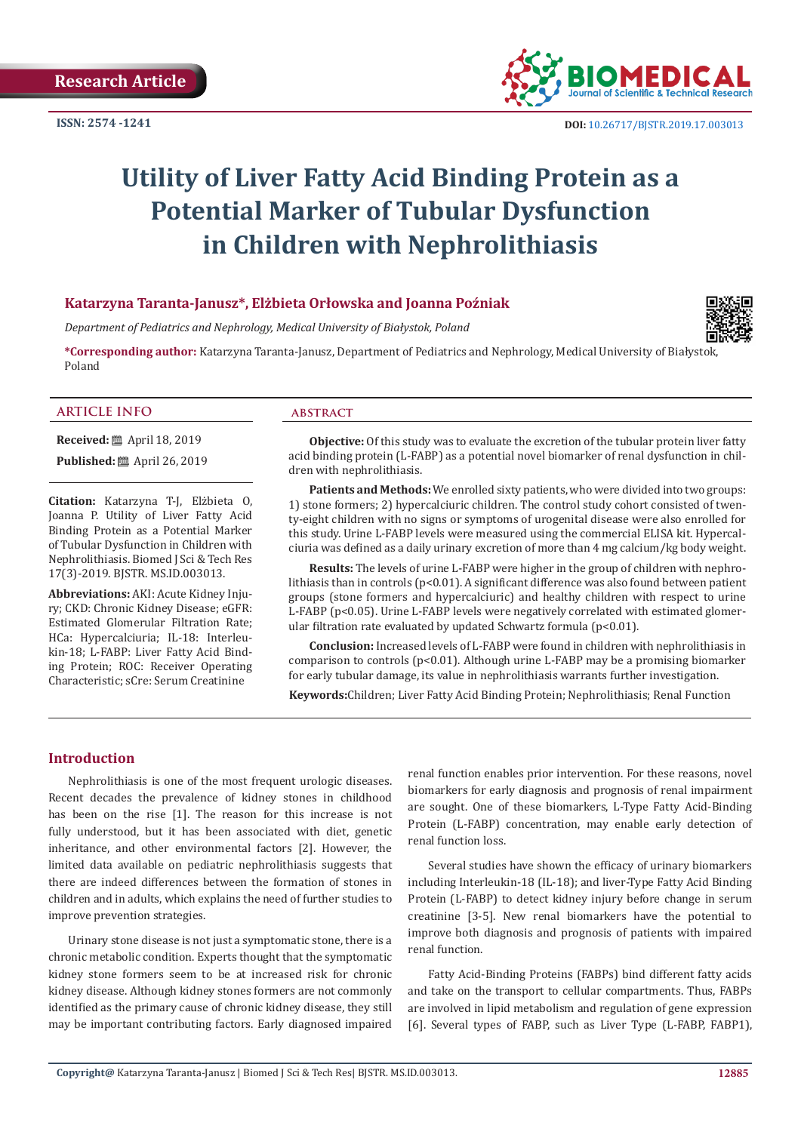

# **Utility of Liver Fatty Acid Binding Protein as a Potential Marker of Tubular Dysfunction in Children with Nephrolithiasis**

# **Katarzyna Taranta-Janusz\*, Elżbieta Orłowska and Joanna Poźniak**

*Department of Pediatrics and Nephrology, Medical University of Białystok, Poland*

**\*Corresponding author:** Katarzyna Taranta-Janusz, Department of Pediatrics and Nephrology, Medical University of Białystok, Poland

# **ARTICLE INFO abstract**

**Received:** ■ April 18, 2019 **Published:** ■ April 26, 2019

**Citation:** Katarzyna T-J, Elżbieta O, Joanna P. Utility of Liver Fatty Acid Binding Protein as a Potential Marker of Tubular Dysfunction in Children with Nephrolithiasis. Biomed J Sci & Tech Res 17(3)-2019. BJSTR. MS.ID.003013.

**Abbreviations:** AKI: Acute Kidney Injury; CKD: Chronic Kidney Disease; eGFR: Estimated Glomerular Filtration Rate; HCa: Hypercalciuria; IL-18: Interleukin-18; L-FABP: Liver Fatty Acid Binding Protein; ROC: Receiver Operating Characteristic; sCre: Serum Creatinine

**Objective:** Of this study was to evaluate the excretion of the tubular protein liver fatty acid binding protein (L-FABP) as a potential novel biomarker of renal dysfunction in children with nephrolithiasis.

**Patients and Methods:** We enrolled sixty patients, who were divided into two groups: 1) stone formers; 2) hypercalciuric children. The control study cohort consisted of twenty-eight children with no signs or symptoms of urogenital disease were also enrolled for this study. Urine L-FABP levels were measured using the commercial ELISA kit. Hypercalciuria was defined as a daily urinary excretion of more than 4 mg calcium/kg body weight.

**Results:** The levels of urine L-FABP were higher in the group of children with nephrolithiasis than in controls ( $p<0.01$ ). A significant difference was also found between patient groups (stone formers and hypercalciuric) and healthy children with respect to urine L-FABP (p<0.05). Urine L-FABP levels were negatively correlated with estimated glomerular filtration rate evaluated by updated Schwartz formula (p<0.01).

**Conclusion:** Increased levels of L-FABP were found in children with nephrolithiasis in comparison to controls  $(p<0.01)$ . Although urine L-FABP may be a promising biomarker for early tubular damage, its value in nephrolithiasis warrants further investigation.

**Keywords:**Children; Liver Fatty Acid Binding Protein; Nephrolithiasis; Renal Function

# **Introduction**

Nephrolithiasis is one of the most frequent urologic diseases. Recent decades the prevalence of kidney stones in childhood has been on the rise [1]. The reason for this increase is not fully understood, but it has been associated with diet, genetic inheritance, and other environmental factors [2]. However, the limited data available on pediatric nephrolithiasis suggests that there are indeed differences between the formation of stones in children and in adults, which explains the need of further studies to improve prevention strategies.

Urinary stone disease is not just a symptomatic stone, there is a chronic metabolic condition. Experts thought that the symptomatic kidney stone formers seem to be at increased risk for chronic kidney disease. Although kidney stones formers are not commonly identified as the primary cause of chronic kidney disease, they still may be important contributing factors. Early diagnosed impaired

renal function enables prior intervention. For these reasons, novel biomarkers for early diagnosis and prognosis of renal impairment are sought. One of these biomarkers, L-Type Fatty Acid-Binding Protein (L-FABP) concentration, may enable early detection of renal function loss.

Several studies have shown the efficacy of urinary biomarkers including Interleukin-18 (IL-18); and liver-Type Fatty Acid Binding Protein (L-FABP) to detect kidney injury before change in serum creatinine [3-5]. New renal biomarkers have the potential to improve both diagnosis and prognosis of patients with impaired renal function.

Fatty Acid-Binding Proteins (FABPs) bind different fatty acids and take on the transport to cellular compartments. Thus, FABPs are involved in lipid metabolism and regulation of gene expression [6]. Several types of FABP, such as Liver Type (L-FABP, FABP1),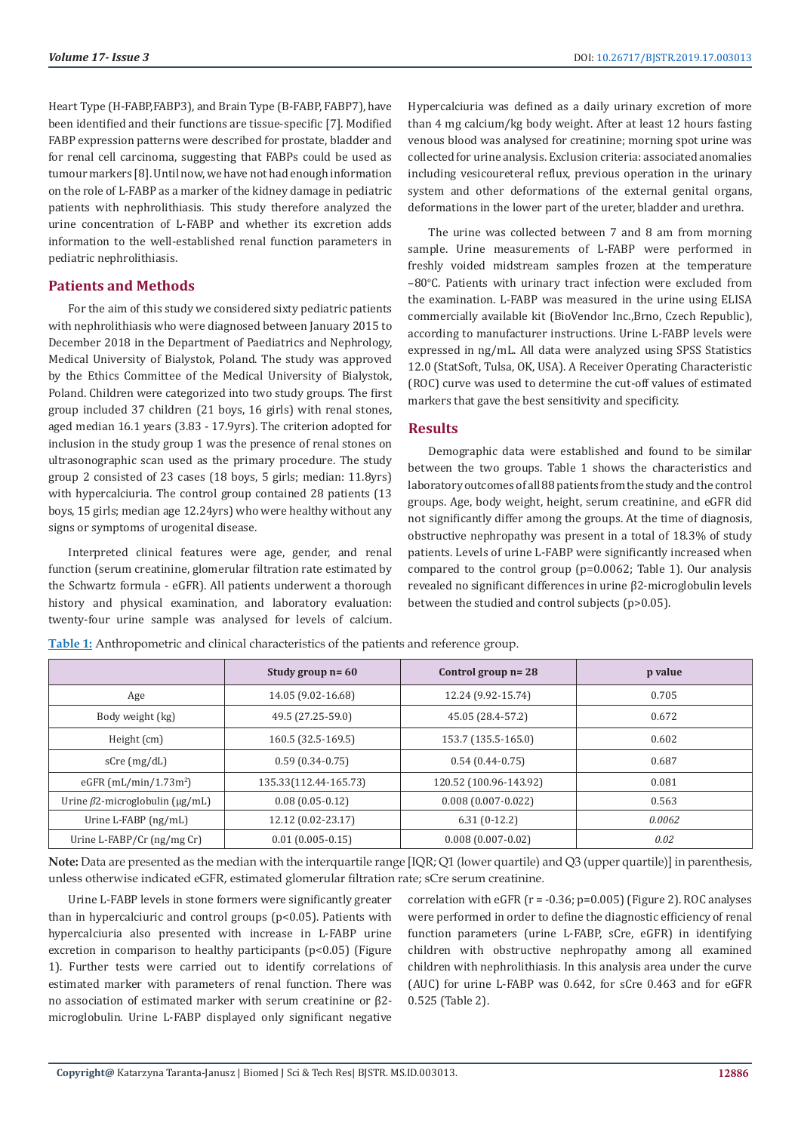Heart Type (H-FABP,FABP3), and Brain Type (B-FABP, FABP7), have been identified and their functions are tissue-specific [7]. Modified FABP expression patterns were described for prostate, bladder and for renal cell carcinoma, suggesting that FABPs could be used as tumour markers [8]. Until now, we have not had enough information on the role of L-FABP as a marker of the kidney damage in pediatric patients with nephrolithiasis. This study therefore analyzed the urine concentration of L-FABP and whether its excretion adds information to the well-established renal function parameters in pediatric nephrolithiasis.

# **Patients and Methods**

For the aim of this study we considered sixty pediatric patients with nephrolithiasis who were diagnosed between January 2015 to December 2018 in the Department of Paediatrics and Nephrology, Medical University of Bialystok, Poland. The study was approved by the Ethics Committee of the Medical University of Bialystok, Poland. Children were categorized into two study groups. The first group included 37 children (21 boys, 16 girls) with renal stones, aged median 16.1 years (3.83 - 17.9yrs). The criterion adopted for inclusion in the study group 1 was the presence of renal stones on ultrasonographic scan used as the primary procedure. The study group 2 consisted of 23 cases (18 boys, 5 girls; median: 11.8yrs) with hypercalciuria. The control group contained 28 patients (13 boys, 15 girls; median age 12.24yrs) who were healthy without any signs or symptoms of urogenital disease.

Interpreted clinical features were age, gender, and renal function (serum creatinine, glomerular filtration rate estimated by the Schwartz formula - eGFR). All patients underwent a thorough history and physical examination, and laboratory evaluation: twenty-four urine sample was analysed for levels of calcium.

Hypercalciuria was defined as a daily urinary excretion of more than 4 mg calcium/kg body weight. After at least 12 hours fasting venous blood was analysed for creatinine; morning spot urine was collected for urine analysis. Exclusion criteria: associated anomalies including vesicoureteral reflux, previous operation in the urinary system and other deformations of the external genital organs, deformations in the lower part of the ureter, bladder and urethra.

The urine was collected between 7 and 8 am from morning sample. Urine measurements of L-FABP were performed in freshly voided midstream samples frozen at the temperature −80°C. Patients with urinary tract infection were excluded from the examination. L-FABP was measured in the urine using ELISA commercially available kit (BioVendor Inc.,Brno, Czech Republic), according to manufacturer instructions. Urine L-FABP levels were expressed in ng/mL. All data were analyzed using SPSS Statistics 12.0 (StatSoft, Tulsa, OK, USA). A Receiver Operating Characteristic (ROC) curve was used to determine the cut-off values of estimated markers that gave the best sensitivity and specificity.

#### **Results**

Demographic data were established and found to be similar between the two groups. Table 1 shows the characteristics and laboratory outcomes of all 88 patients from the study and the control groups. Age, body weight, height, serum creatinine, and eGFR did not significantly differ among the groups. At the time of diagnosis, obstructive nephropathy was present in a total of 18.3% of study patients. Levels of urine L-FABP were significantly increased when compared to the control group (p=0.0062; Table 1). Our analysis revealed no significant differences in urine β2-microglobulin levels between the studied and control subjects (p>0.05).

|                                       | Study group $n = 60$  | Control group $n = 28$ | p value |
|---------------------------------------|-----------------------|------------------------|---------|
| Age                                   | 14.05 (9.02-16.68)    | 12.24 (9.92-15.74)     | 0.705   |
| Body weight (kg)                      | 49.5 (27.25-59.0)     | 45.05 (28.4-57.2)      | 0.672   |
| Height (cm)                           | 160.5 (32.5-169.5)    | 153.7 (135.5-165.0)    | 0.602   |
| sCre (mg/dL)                          | $0.59(0.34-0.75)$     | $0.54(0.44-0.75)$      | 0.687   |
| eGFR $(mL/min/1.73m2)$                | 135.33(112.44-165.73) | 120.52 (100.96-143.92) | 0.081   |
| Urine $\beta$ 2-microglobulin (µg/mL) | $0.08(0.05-0.12)$     | $0.008(0.007 - 0.022)$ | 0.563   |
| Urine L-FABP $(ng/mL)$                | 12.12 (0.02-23.17)    | $6.31(0-12.2)$         | 0.0062  |
| Urine L-FABP/Cr (ng/mg Cr)            | $0.01(0.005-0.15)$    | $0.008(0.007 - 0.02)$  | 0.02    |

**Table 1:** Anthropometric and clinical characteristics of the patients and reference group.

**Note:** Data are presented as the median with the interquartile range [IQR; Q1 (lower quartile) and Q3 (upper quartile)] in parenthesis, unless otherwise indicated eGFR, estimated glomerular filtration rate; sCre serum creatinine.

Urine L-FABP levels in stone formers were significantly greater than in hypercalciuric and control groups (p<0.05). Patients with hypercalciuria also presented with increase in L-FABP urine excretion in comparison to healthy participants (p<0.05) (Figure 1). Further tests were carried out to identify correlations of estimated marker with parameters of renal function. There was no association of estimated marker with serum creatinine or β2 microglobulin. Urine L-FABP displayed only significant negative

correlation with eGFR ( $r = -0.36$ ;  $p=0.005$ ) (Figure 2). ROC analyses were performed in order to define the diagnostic efficiency of renal function parameters (urine L-FABP, sCre, eGFR) in identifying children with obstructive nephropathy among all examined children with nephrolithiasis. In this analysis area under the curve (AUC) for urine L-FABP was 0.642, for sCre 0.463 and for eGFR 0.525 (Table 2).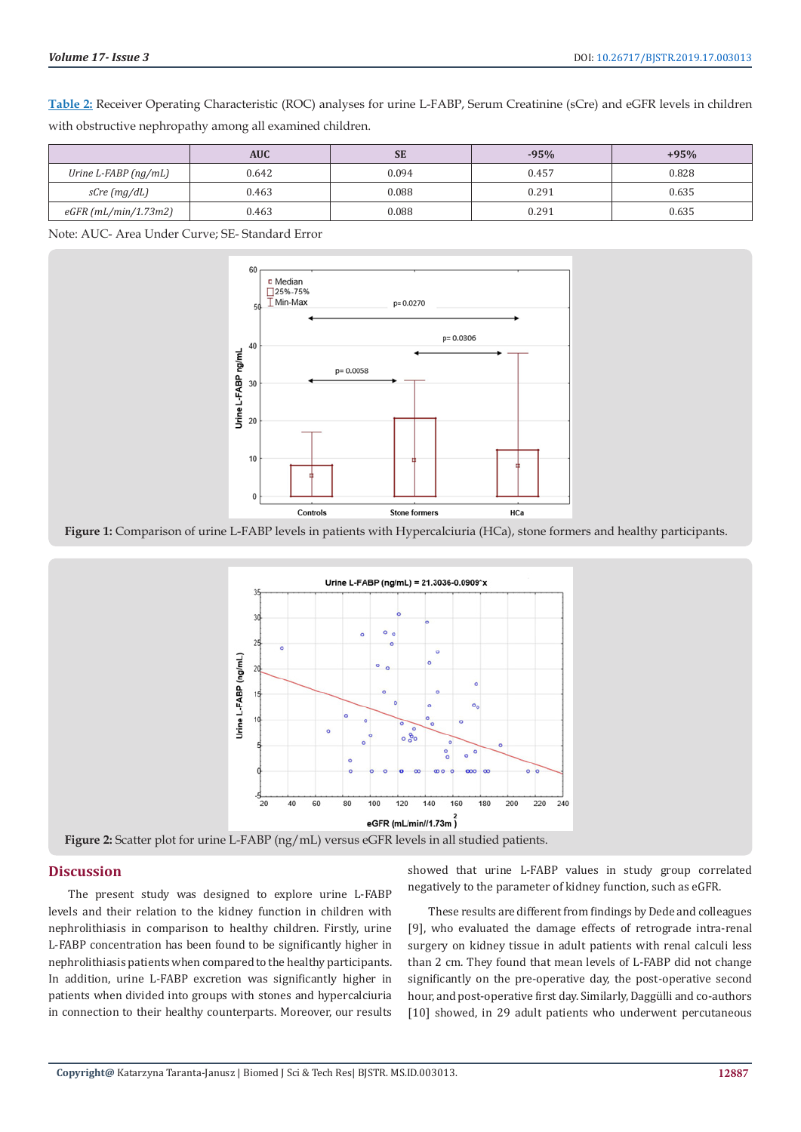**Table 2:** Receiver Operating Characteristic (ROC) analyses for urine L-FABP, Serum Creatinine (sCre) and eGFR levels in children with obstructive nephropathy among all examined children.

|                           | <b>AUC</b> | <b>SE</b> | $-95%$ | $+95%$ |
|---------------------------|------------|-----------|--------|--------|
| Urine $L$ -FABP $(ng/mL)$ | 0.642      | 0.094     | 0.457  | 0.828  |
| $sCre$ (mg/dL)            | 0.463      | 0.088     | 0.291  | 0.635  |
| $eGFR$ (mL/min/1.73m2)    | 0.463      | 0.088     | 0.291  | 0.635  |

Note: AUC- Area Under Curve; SE- Standard Error



**Figure 1:** Comparison of urine L-FABP levels in patients with Hypercalciuria (HCa), stone formers and healthy participants.



#### **Discussion**

The present study was designed to explore urine L-FABP levels and their relation to the kidney function in children with nephrolithiasis in comparison to healthy children. Firstly, urine L-FABP concentration has been found to be significantly higher in nephrolithiasis patients when compared to the healthy participants. In addition, urine L-FABP excretion was significantly higher in patients when divided into groups with stones and hypercalciuria in connection to their healthy counterparts. Moreover, our results

showed that urine L-FABP values in study group correlated negatively to the parameter of kidney function, such as eGFR.

These results are different from findings by Dede and colleagues [9], who evaluated the damage effects of retrograde intra-renal surgery on kidney tissue in adult patients with renal calculi less than 2 cm. They found that mean levels of L-FABP did not change significantly on the pre-operative day, the post-operative second hour, and post-operative first day. Similarly, Daggülli and co-authors [10] showed, in 29 adult patients who underwent percutaneous